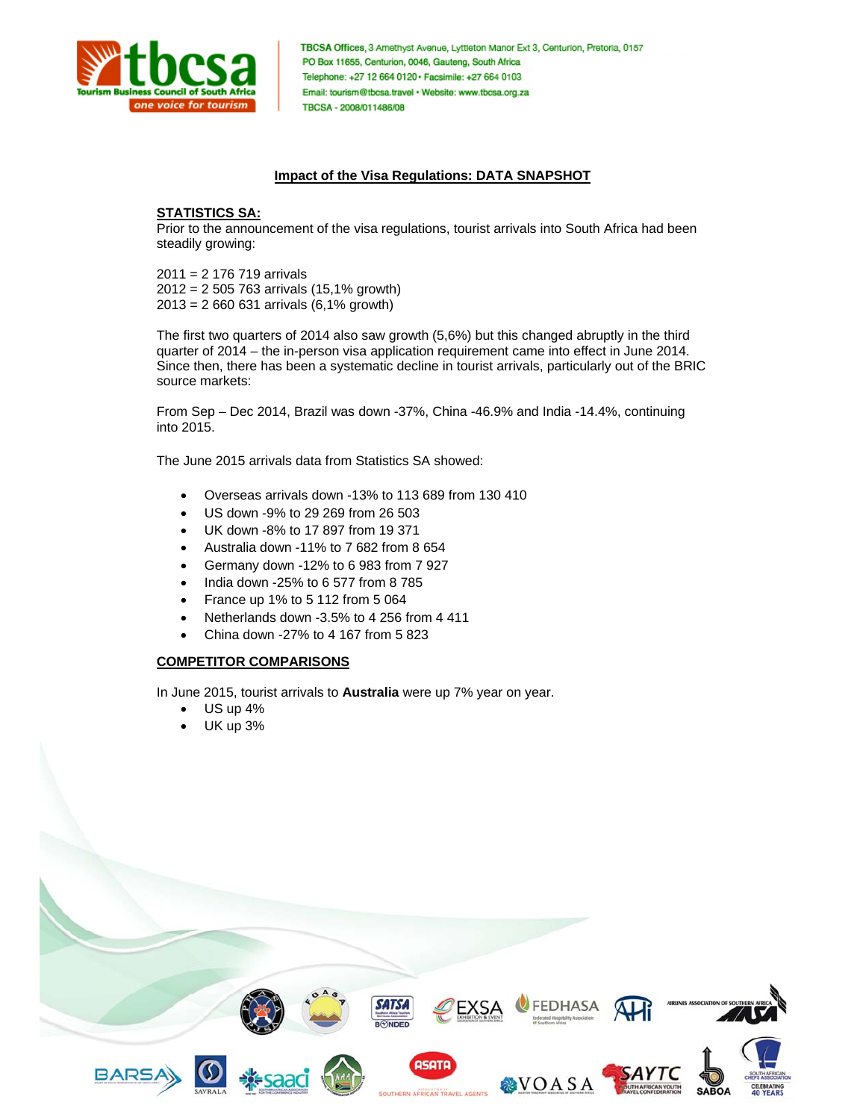

TBCSA Offices, 3 Amethyst Avenue, Lyttleton Manor Ext 3, Centurion, Pretoria, 0157 PO Box 11655, Centurion, 0046, Gauteng, South Africa Telephone: +27 12 664 0120 · Facsimile: +27 664 0103 Email: tourism@tbcsa.travel · Website: www.tbcsa.org.za TBCSA - 2008/011486/08

#### **Impact of the Visa Regulations: DATA SNAPSHOT**

#### **STATISTICS SA:**

Prior to the announcement of the visa regulations, tourist arrivals into South Africa had been steadily growing:

2011 = 2 176 719 arrivals 2012 = 2 505 763 arrivals (15,1% growth) 2013 = 2 660 631 arrivals (6,1% growth)

The first two quarters of 2014 also saw growth (5,6%) but this changed abruptly in the third quarter of 2014 – the in-person visa application requirement came into effect in June 2014. Since then, there has been a systematic decline in tourist arrivals, particularly out of the BRIC source markets:

From Sep – Dec 2014, Brazil was down -37%, China -46.9% and India -14.4%, continuing into 2015.

The June 2015 arrivals data from Statistics SA showed:

- Overseas arrivals down -13% to 113 689 from 130 410
- US down -9% to 29 269 from 26 503
- UK down -8% to 17 897 from 19 371
- Australia down -11% to 7 682 from 8 654
- Germany down -12% to 6 983 from 7 927
- India down -25% to 6 577 from 8 785
- France up 1% to 5 112 from 5 064
- Netherlands down -3.5% to 4 256 from 4 411
- China down -27% to 4 167 from 5 823

# **COMPETITOR COMPARISONS**

In June 2015, tourist arrivals to **Australia** were up 7% year on year.

- US up 4%
- UK up 3%

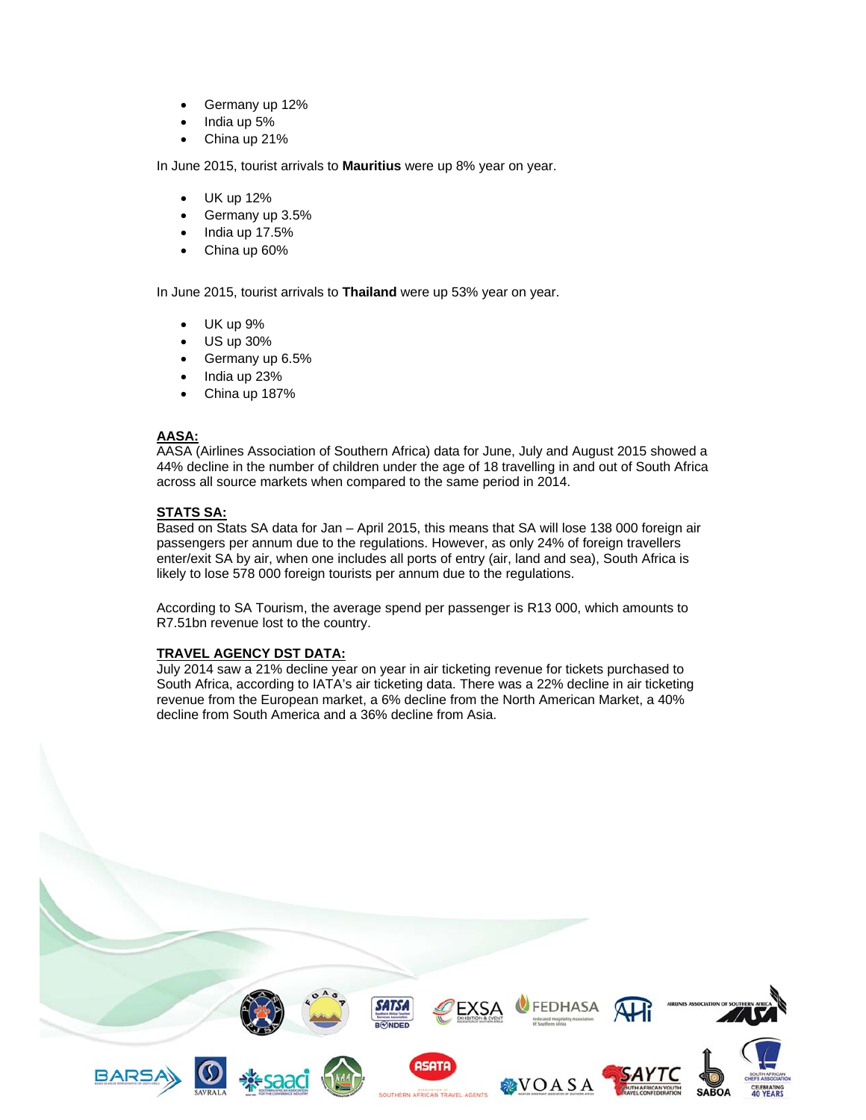- Germany up 12%
- India up 5%
- China up 21%

In June 2015, tourist arrivals to **Mauritius** were up 8% year on year.

- UK up 12%
- Germany up 3.5%
- India up 17.5%
- China up 60%

In June 2015, tourist arrivals to **Thailand** were up 53% year on year.

- UK up 9%
- US up 30%
- Germany up 6.5%
- India up 23%
- China up 187%

## **AASA:**

AASA (Airlines Association of Southern Africa) data for June, July and August 2015 showed a 44% decline in the number of children under the age of 18 travelling in and out of South Africa across all source markets when compared to the same period in 2014.

# **STATS SA:**

Based on Stats SA data for Jan – April 2015, this means that SA will lose 138 000 foreign air passengers per annum due to the regulations. However, as only 24% of foreign travellers enter/exit SA by air, when one includes all ports of entry (air, land and sea), South Africa is likely to lose 578 000 foreign tourists per annum due to the regulations.

According to SA Tourism, the average spend per passenger is R13 000, which amounts to R7.51bn revenue lost to the country.

## **TRAVEL AGENCY DST DATA:**

July 2014 saw a 21% decline year on year in air ticketing revenue for tickets purchased to South Africa, according to IATA's air ticketing data. There was a 22% decline in air ticketing revenue from the European market, a 6% decline from the North American Market, a 40% decline from South America and a 36% decline from Asia.

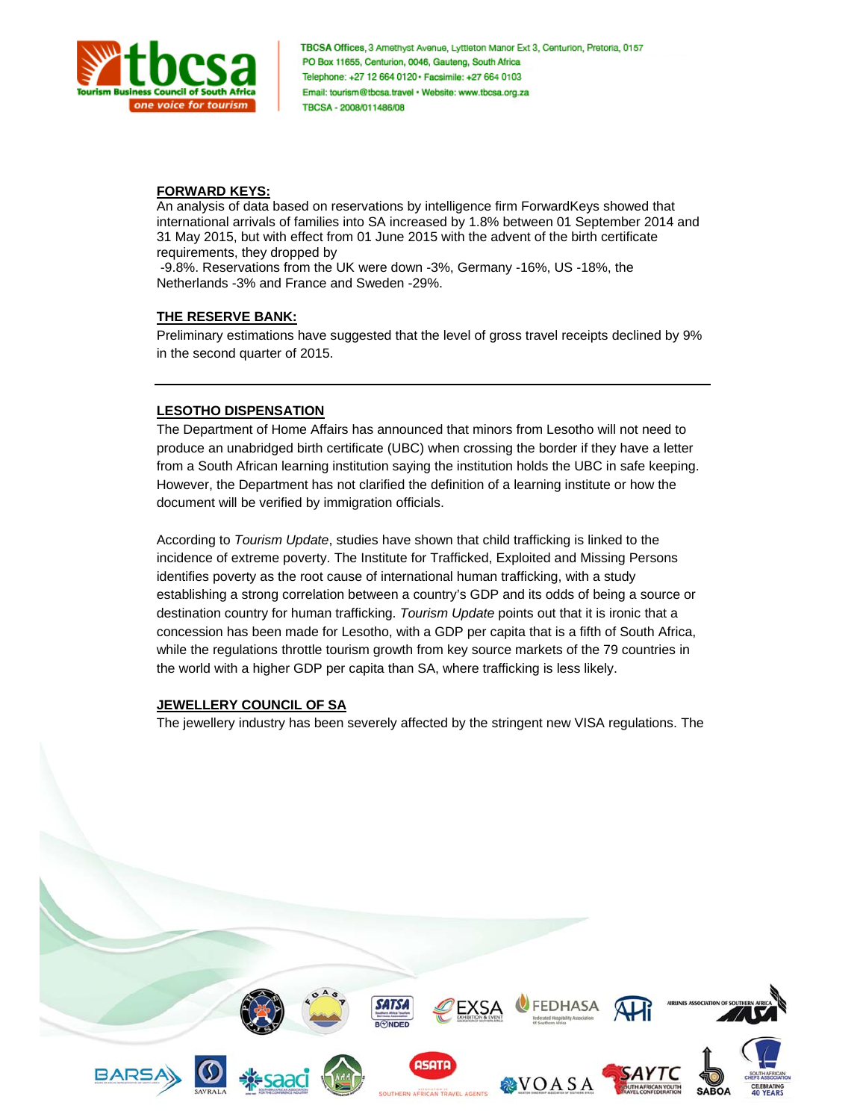

TBCSA Offices, 3 Amethyst Avenue, Lyttleton Manor Ext 3, Centurion, Pretoria, 0157 PO Box 11655, Centurion, 0046, Gauteng, South Africa Telephone: +27 12 664 0120 · Facsimile: +27 664 0103 Email: tourism@tbcsa.travel · Website: www.tbcsa.org.za TBCSA - 2008/011486/08

#### **FORWARD KEYS:**

An analysis of data based on reservations by intelligence firm ForwardKeys showed that international arrivals of families into SA increased by 1.8% between 01 September 2014 and 31 May 2015, but with effect from 01 June 2015 with the advent of the birth certificate requirements, they dropped by

 -9.8%. Reservations from the UK were down -3%, Germany -16%, US -18%, the Netherlands -3% and France and Sweden -29%.

#### **THE RESERVE BANK:**

Preliminary estimations have suggested that the level of gross travel receipts declined by 9% in the second quarter of 2015.

## **LESOTHO DISPENSATION**

The Department of Home Affairs has announced that minors from Lesotho will not need to produce an unabridged birth certificate (UBC) when crossing the border if they have a letter from a South African learning institution saying the institution holds the UBC in safe keeping. However, the Department has not clarified the definition of a learning institute or how the document will be verified by immigration officials.

According to *Tourism Update*, studies have shown that child trafficking is linked to the incidence of extreme poverty. The Institute for Trafficked, Exploited and Missing Persons identifies poverty as the root cause of international human trafficking, with a study establishing a strong correlation between a country's GDP and its odds of being a source or destination country for human trafficking. *Tourism Update* points out that it is ironic that a concession has been made for Lesotho, with a GDP per capita that is a fifth of South Africa, while the regulations throttle tourism growth from key source markets of the 79 countries in the world with a higher GDP per capita than SA, where trafficking is less likely.

## **JEWELLERY COUNCIL OF SA**

The jewellery industry has been severely affected by the stringent new VISA regulations. The